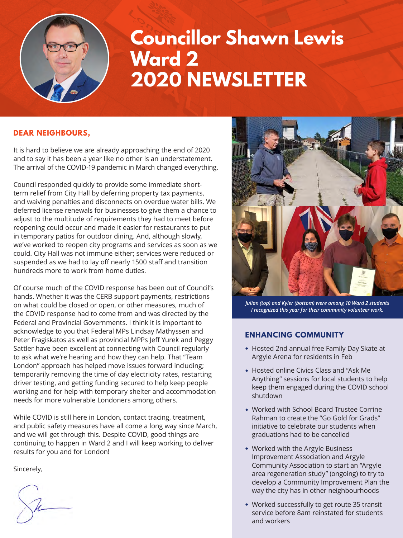

# **Councillor Shawn Lewis Ward 2 2020 NEWSLETTER**

## **DEAR NEIGHBOURS,**

It is hard to believe we are already approaching the end of 2020 and to say it has been a year like no other is an understatement. The arrival of the COVID-19 pandemic in March changed everything.

Council responded quickly to provide some immediate shortterm relief from City Hall by deferring property tax payments, and waiving penalties and disconnects on overdue water bills. We deferred license renewals for businesses to give them a chance to adjust to the multitude of requirements they had to meet before reopening could occur and made it easier for restaurants to put in temporary patios for outdoor dining. And, although slowly, we've worked to reopen city programs and services as soon as we could. City Hall was not immune either; services were reduced or suspended as we had to lay off nearly 1500 staff and transition hundreds more to work from home duties.

Of course much of the COVID response has been out of Council's hands. Whether it was the CERB support payments, restrictions on what could be closed or open, or other measures, much of the COVID response had to come from and was directed by the Federal and Provincial Governments. I think it is important to acknowledge to you that Federal MPs Lindsay Mathyssen and Peter Fragiskatos as well as provincial MPPs Jeff Yurek and Peggy Sattler have been excellent at connecting with Council regularly to ask what we're hearing and how they can help. That "Team London" approach has helped move issues forward including; temporarily removing the time of day electricity rates, restarting driver testing, and getting funding secured to help keep people working and for help with temporary shelter and accommodation needs for more vulnerable Londoners among others.

While COVID is still here in London, contact tracing, treatment, and public safety measures have all come a long way since March, and we will get through this. Despite COVID, good things are continuing to happen in Ward 2 and I will keep working to deliver results for you and for London!

Sincerely,



*Julian (top) and Kyler (bottom) were among 10 Ward 2 students I recognized this year for their community volunteer work.*

## **ENHANCING COMMUNITY**

- Hosted 2nd annual free Family Day Skate at Argyle Arena for residents in Feb
- Hosted online Civics Class and "Ask Me Anything" sessions for local students to help keep them engaged during the COVID school shutdown
- Worked with School Board Trustee Corrine Rahman to create the "Go Gold for Grads" initiative to celebrate our students when graduations had to be cancelled
- Worked with the Argyle Business Improvement Association and Argyle Community Association to start an "Argyle area regeneration study" (ongoing) to try to develop a Community Improvement Plan the way the city has in other neighbourhoods
- Worked successfully to get route 35 transit service before 8am reinstated for students and workers